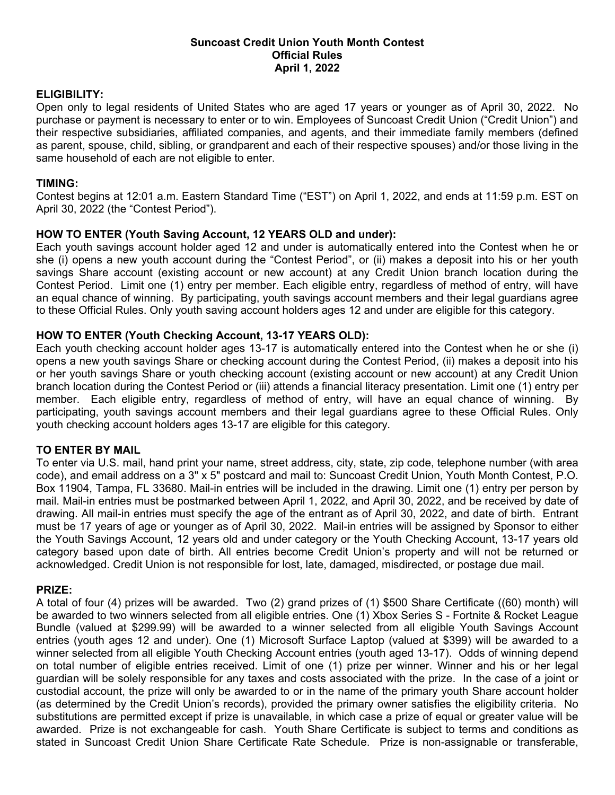## **Suncoast Credit Union Youth Month Contest Official Rules April 1, 2022**

## **ELIGIBILITY:**

Open only to legal residents of United States who are aged 17 years or younger as of April 30, 2022. No purchase or payment is necessary to enter or to win. Employees of Suncoast Credit Union ("Credit Union") and their respective subsidiaries, affiliated companies, and agents, and their immediate family members (defined as parent, spouse, child, sibling, or grandparent and each of their respective spouses) and/or those living in the same household of each are not eligible to enter.

## **TIMING:**

Contest begins at 12:01 a.m. Eastern Standard Time ("EST") on April 1, 2022, and ends at 11:59 p.m. EST on April 30, 2022 (the "Contest Period").

# **HOW TO ENTER (Youth Saving Account, 12 YEARS OLD and under):**

Each youth savings account holder aged 12 and under is automatically entered into the Contest when he or she (i) opens a new youth account during the "Contest Period", or (ii) makes a deposit into his or her youth savings Share account (existing account or new account) at any Credit Union branch location during the Contest Period. Limit one (1) entry per member. Each eligible entry, regardless of method of entry, will have an equal chance of winning. By participating, youth savings account members and their legal guardians agree to these Official Rules. Only youth saving account holders ages 12 and under are eligible for this category.

## **HOW TO ENTER (Youth Checking Account, 13-17 YEARS OLD):**

Each youth checking account holder ages 13-17 is automatically entered into the Contest when he or she (i) opens a new youth savings Share or checking account during the Contest Period, (ii) makes a deposit into his or her youth savings Share or youth checking account (existing account or new account) at any Credit Union branch location during the Contest Period or (iii) attends a financial literacy presentation. Limit one (1) entry per member. Each eligible entry, regardless of method of entry, will have an equal chance of winning. By participating, youth savings account members and their legal guardians agree to these Official Rules. Only youth checking account holders ages 13-17 are eligible for this category.

#### **TO ENTER BY MAIL**

To enter via U.S. mail, hand print your name, street address, city, state, zip code, telephone number (with area code), and email address on a 3" x 5" postcard and mail to: Suncoast Credit Union, Youth Month Contest, P.O. Box 11904, Tampa, FL 33680. Mail-in entries will be included in the drawing. Limit one (1) entry per person by mail. Mail-in entries must be postmarked between April 1, 2022, and April 30, 2022, and be received by date of drawing. All mail-in entries must specify the age of the entrant as of April 30, 2022, and date of birth. Entrant must be 17 years of age or younger as of April 30, 2022. Mail-in entries will be assigned by Sponsor to either the Youth Savings Account, 12 years old and under category or the Youth Checking Account, 13-17 years old category based upon date of birth. All entries become Credit Union's property and will not be returned or acknowledged. Credit Union is not responsible for lost, late, damaged, misdirected, or postage due mail.

#### **PRIZE:**

A total of four (4) prizes will be awarded. Two (2) grand prizes of (1) \$500 Share Certificate ((60) month) will be awarded to two winners selected from all eligible entries. One (1) Xbox Series S - Fortnite & Rocket League Bundle (valued at \$299.99) will be awarded to a winner selected from all eligible Youth Savings Account entries (youth ages 12 and under). One (1) Microsoft Surface Laptop (valued at \$399) will be awarded to a winner selected from all eligible Youth Checking Account entries (youth aged 13-17). Odds of winning depend on total number of eligible entries received. Limit of one (1) prize per winner. Winner and his or her legal guardian will be solely responsible for any taxes and costs associated with the prize. In the case of a joint or custodial account, the prize will only be awarded to or in the name of the primary youth Share account holder (as determined by the Credit Union's records), provided the primary owner satisfies the eligibility criteria. No substitutions are permitted except if prize is unavailable, in which case a prize of equal or greater value will be awarded. Prize is not exchangeable for cash. Youth Share Certificate is subject to terms and conditions as stated in Suncoast Credit Union Share Certificate Rate Schedule. Prize is non-assignable or transferable,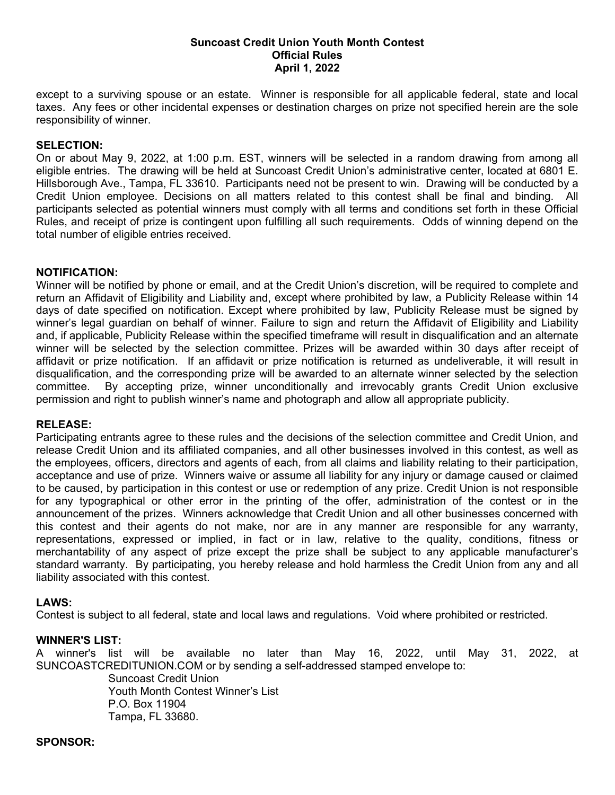## **Suncoast Credit Union Youth Month Contest Official Rules April 1, 2022**

except to a surviving spouse or an estate. Winner is responsible for all applicable federal, state and local taxes. Any fees or other incidental expenses or destination charges on prize not specified herein are the sole responsibility of winner.

### **SELECTION:**

On or about May 9, 2022, at 1:00 p.m. EST, winners will be selected in a random drawing from among all eligible entries. The drawing will be held at Suncoast Credit Union's administrative center, located at 6801 E. Hillsborough Ave., Tampa, FL 33610. Participants need not be present to win. Drawing will be conducted by a Credit Union employee. Decisions on all matters related to this contest shall be final and binding. All participants selected as potential winners must comply with all terms and conditions set forth in these Official Rules, and receipt of prize is contingent upon fulfilling all such requirements. Odds of winning depend on the total number of eligible entries received.

#### **NOTIFICATION:**

Winner will be notified by phone or email, and at the Credit Union's discretion, will be required to complete and return an Affidavit of Eligibility and Liability and, except where prohibited by law, a Publicity Release within 14 days of date specified on notification. Except where prohibited by law, Publicity Release must be signed by winner's legal guardian on behalf of winner. Failure to sign and return the Affidavit of Eligibility and Liability and, if applicable, Publicity Release within the specified timeframe will result in disqualification and an alternate winner will be selected by the selection committee. Prizes will be awarded within 30 days after receipt of affidavit or prize notification. If an affidavit or prize notification is returned as undeliverable, it will result in disqualification, and the corresponding prize will be awarded to an alternate winner selected by the selection committee. By accepting prize, winner unconditionally and irrevocably grants Credit Union exclusive permission and right to publish winner's name and photograph and allow all appropriate publicity.

#### **RELEASE:**

Participating entrants agree to these rules and the decisions of the selection committee and Credit Union, and release Credit Union and its affiliated companies, and all other businesses involved in this contest, as well as the employees, officers, directors and agents of each, from all claims and liability relating to their participation, acceptance and use of prize. Winners waive or assume all liability for any injury or damage caused or claimed to be caused, by participation in this contest or use or redemption of any prize. Credit Union is not responsible for any typographical or other error in the printing of the offer, administration of the contest or in the announcement of the prizes. Winners acknowledge that Credit Union and all other businesses concerned with this contest and their agents do not make, nor are in any manner are responsible for any warranty, representations, expressed or implied, in fact or in law, relative to the quality, conditions, fitness or merchantability of any aspect of prize except the prize shall be subject to any applicable manufacturer's standard warranty. By participating, you hereby release and hold harmless the Credit Union from any and all liability associated with this contest.

# **LAWS:**

Contest is subject to all federal, state and local laws and regulations. Void where prohibited or restricted.

## **WINNER'S LIST:**

A winner's list will be available no later than May 16, 2022, until May 31, 2022, at SUNCOASTCREDITUNION.COM or by sending a self-addressed stamped envelope to:

> Suncoast Credit Union Youth Month Contest Winner's List P.O. Box 11904 Tampa, FL 33680.

**SPONSOR:**